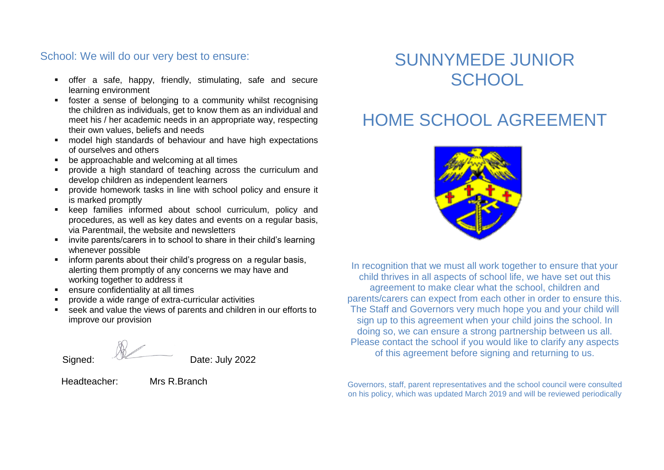#### School: We will do our very best to ensure:

- offer a safe, happy, friendly, stimulating, safe and secure learning environment
- foster a sense of belonging to a community whilst recognising the children as individuals, get to know them as an individual and meet his / her academic needs in an appropriate way, respecting their own values, beliefs and needs
- model high standards of behaviour and have high expectations of ourselves and others
- be approachable and welcoming at all times
- provide a high standard of teaching across the curriculum and develop children as independent learners
- provide homework tasks in line with school policy and ensure it is marked promptly
- **EXECT:** keep families informed about school curriculum, policy and procedures, as well as key dates and events on a regular basis, via Parentmail, the website and newsletters
- **EXEDENT** invite parents/carers in to school to share in their child's learning whenever possible
- **F** inform parents about their child's progress on a regular basis, alerting them promptly of any concerns we may have and working together to address it
- ensure confidentiality at all times
- provide a wide range of extra-curricular activities
- seek and value the views of parents and children in our efforts to improve our provision

Signed: Date: July 2022

Headteacher: Mrs R.Branch

## SUNNYMEDE JUNIOR **SCHOOL**

# HOME SCHOOL AGREEMENT



In recognition that we must all work together to ensure that your child thrives in all aspects of school life, we have set out this agreement to make clear what the school, children and parents/carers can expect from each other in order to ensure this. The Staff and Governors very much hope you and your child will sign up to this agreement when your child joins the school. In doing so, we can ensure a strong partnership between us all. Please contact the school if you would like to clarify any aspects of this agreement before signing and returning to us.

Governors, staff, parent representatives and the school council were consulted on his policy, which was updated March 2019 and will be reviewed periodically